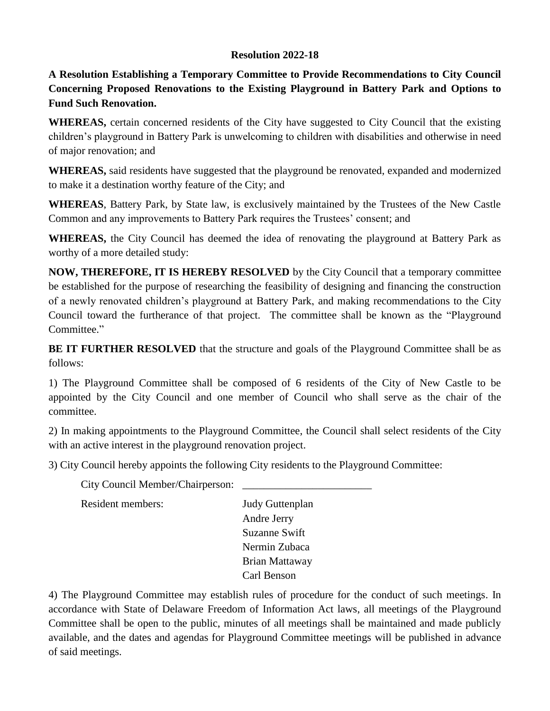## **Resolution 2022-18**

**A Resolution Establishing a Temporary Committee to Provide Recommendations to City Council Concerning Proposed Renovations to the Existing Playground in Battery Park and Options to Fund Such Renovation.** 

**WHEREAS,** certain concerned residents of the City have suggested to City Council that the existing children's playground in Battery Park is unwelcoming to children with disabilities and otherwise in need of major renovation; and

**WHEREAS,** said residents have suggested that the playground be renovated, expanded and modernized to make it a destination worthy feature of the City; and

**WHEREAS**, Battery Park, by State law, is exclusively maintained by the Trustees of the New Castle Common and any improvements to Battery Park requires the Trustees' consent; and

**WHEREAS,** the City Council has deemed the idea of renovating the playground at Battery Park as worthy of a more detailed study:

**NOW, THEREFORE, IT IS HEREBY RESOLVED** by the City Council that a temporary committee be established for the purpose of researching the feasibility of designing and financing the construction of a newly renovated children's playground at Battery Park, and making recommendations to the City Council toward the furtherance of that project. The committee shall be known as the "Playground Committee."

**BE IT FURTHER RESOLVED** that the structure and goals of the Playground Committee shall be as follows:

1) The Playground Committee shall be composed of 6 residents of the City of New Castle to be appointed by the City Council and one member of Council who shall serve as the chair of the committee.

2) In making appointments to the Playground Committee, the Council shall select residents of the City with an active interest in the playground renovation project.

3) City Council hereby appoints the following City residents to the Playground Committee:

City Council Member/Chairperson:

Resident members: Judy Guttenplan

Andre Jerry Suzanne Swift Nermin Zubaca Brian Mattaway Carl Benson

4) The Playground Committee may establish rules of procedure for the conduct of such meetings. In accordance with State of Delaware Freedom of Information Act laws, all meetings of the Playground Committee shall be open to the public, minutes of all meetings shall be maintained and made publicly available, and the dates and agendas for Playground Committee meetings will be published in advance of said meetings.